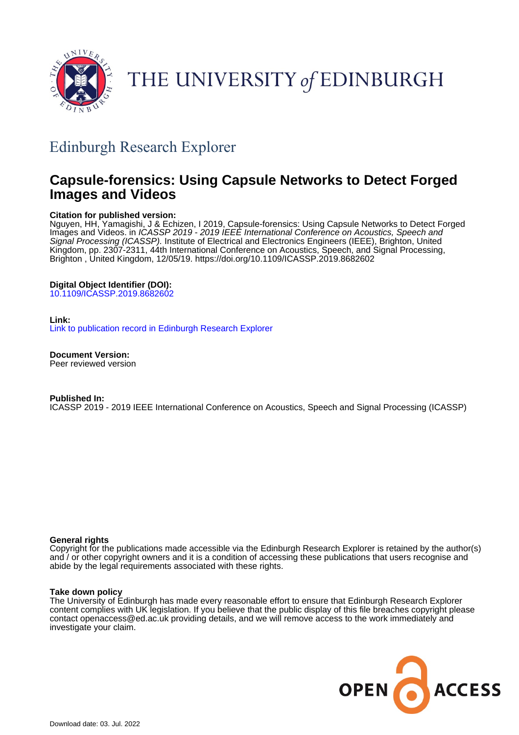

# THE UNIVERSITY of EDINBURGH

## Edinburgh Research Explorer

## **Capsule-forensics: Using Capsule Networks to Detect Forged Images and Videos**

## **Citation for published version:**

Nguyen, HH, Yamagishi, J & Echizen, I 2019, Capsule-forensics: Using Capsule Networks to Detect Forged Images and Videos. in *ICASSP 2019 - 2019 IEEE International Conference on Acoustics, Speech and* Signal Processing (ICASSP). Institute of Electrical and Electronics Engineers (IEEE), Brighton, United Kingdom, pp. 2307-2311, 44th International Conference on Acoustics, Speech, and Signal Processing, Brighton , United Kingdom, 12/05/19. <https://doi.org/10.1109/ICASSP.2019.8682602>

## **Digital Object Identifier (DOI):**

[10.1109/ICASSP.2019.8682602](https://doi.org/10.1109/ICASSP.2019.8682602)

### **Link:**

[Link to publication record in Edinburgh Research Explorer](https://www.research.ed.ac.uk/en/publications/15e4a22a-e410-41d0-a18d-f27ca4bcc6fc)

**Document Version:** Peer reviewed version

#### **Published In:**

ICASSP 2019 - 2019 IEEE International Conference on Acoustics, Speech and Signal Processing (ICASSP)

### **General rights**

Copyright for the publications made accessible via the Edinburgh Research Explorer is retained by the author(s) and / or other copyright owners and it is a condition of accessing these publications that users recognise and abide by the legal requirements associated with these rights.

#### **Take down policy**

The University of Edinburgh has made every reasonable effort to ensure that Edinburgh Research Explorer content complies with UK legislation. If you believe that the public display of this file breaches copyright please contact openaccess@ed.ac.uk providing details, and we will remove access to the work immediately and investigate your claim.

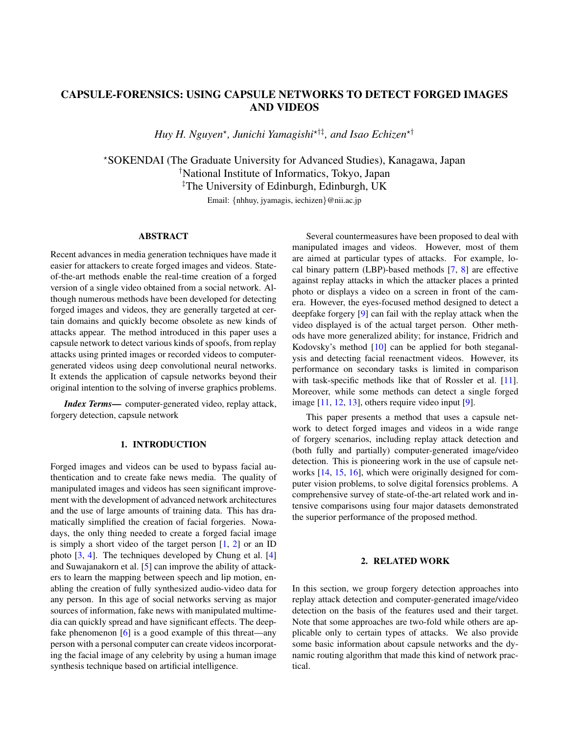## CAPSULE-FORENSICS: USING CAPSULE NETWORKS TO DETECT FORGED IMAGES AND VIDEOS

*Huy H. Nguyen*? *, Junichi Yamagishi*?†‡*, and Isao Echizen*?†

?SOKENDAI (The Graduate University for Advanced Studies), Kanagawa, Japan †National Institute of Informatics, Tokyo, Japan ‡The University of Edinburgh, Edinburgh, UK Email: {nhhuy, jyamagis, iechizen}@nii.ac.jp

## ABSTRACT

Recent advances in media generation techniques have made it easier for attackers to create forged images and videos. Stateof-the-art methods enable the real-time creation of a forged version of a single video obtained from a social network. Although numerous methods have been developed for detecting forged images and videos, they are generally targeted at certain domains and quickly become obsolete as new kinds of attacks appear. The method introduced in this paper uses a capsule network to detect various kinds of spoofs, from replay attacks using printed images or recorded videos to computergenerated videos using deep convolutional neural networks. It extends the application of capsule networks beyond their original intention to the solving of inverse graphics problems.

*Index Terms*— computer-generated video, replay attack, forgery detection, capsule network

#### 1. INTRODUCTION

Forged images and videos can be used to bypass facial authentication and to create fake news media. The quality of manipulated images and videos has seen significant improvement with the development of advanced network architectures and the use of large amounts of training data. This has dramatically simplified the creation of facial forgeries. Nowadays, the only thing needed to create a forged facial image is simply a short video of the target person  $[1, 2]$  $[1, 2]$  $[1, 2]$  or an ID photo [\[3,](#page-5-2) [4\]](#page-5-3). The techniques developed by Chung et al. [\[4\]](#page-5-3) and Suwajanakorn et al. [\[5\]](#page-5-4) can improve the ability of attackers to learn the mapping between speech and lip motion, enabling the creation of fully synthesized audio-video data for any person. In this age of social networks serving as major sources of information, fake news with manipulated multimedia can quickly spread and have significant effects. The deepfake phenomenon [\[6\]](#page-5-5) is a good example of this threat—any person with a personal computer can create videos incorporating the facial image of any celebrity by using a human image synthesis technique based on artificial intelligence.

Several countermeasures have been proposed to deal with manipulated images and videos. However, most of them are aimed at particular types of attacks. For example, local binary pattern (LBP)-based methods [\[7,](#page-5-6) [8\]](#page-5-7) are effective against replay attacks in which the attacker places a printed photo or displays a video on a screen in front of the camera. However, the eyes-focused method designed to detect a deepfake forgery [\[9\]](#page-5-8) can fail with the replay attack when the video displayed is of the actual target person. Other methods have more generalized ability; for instance, Fridrich and Kodovsky's method [\[10\]](#page-5-9) can be applied for both steganalysis and detecting facial reenactment videos. However, its performance on secondary tasks is limited in comparison with task-specific methods like that of Rossler et al. [\[11\]](#page-5-10). Moreover, while some methods can detect a single forged image [\[11,](#page-5-10) [12,](#page-5-11) [13\]](#page-5-12), others require video input [\[9\]](#page-5-8).

This paper presents a method that uses a capsule network to detect forged images and videos in a wide range of forgery scenarios, including replay attack detection and (both fully and partially) computer-generated image/video detection. This is pioneering work in the use of capsule networks [\[14,](#page-5-13) [15,](#page-5-14) [16\]](#page-5-15), which were originally designed for computer vision problems, to solve digital forensics problems. A comprehensive survey of state-of-the-art related work and intensive comparisons using four major datasets demonstrated the superior performance of the proposed method.

#### 2. RELATED WORK

In this section, we group forgery detection approaches into replay attack detection and computer-generated image/video detection on the basis of the features used and their target. Note that some approaches are two-fold while others are applicable only to certain types of attacks. We also provide some basic information about capsule networks and the dynamic routing algorithm that made this kind of network practical.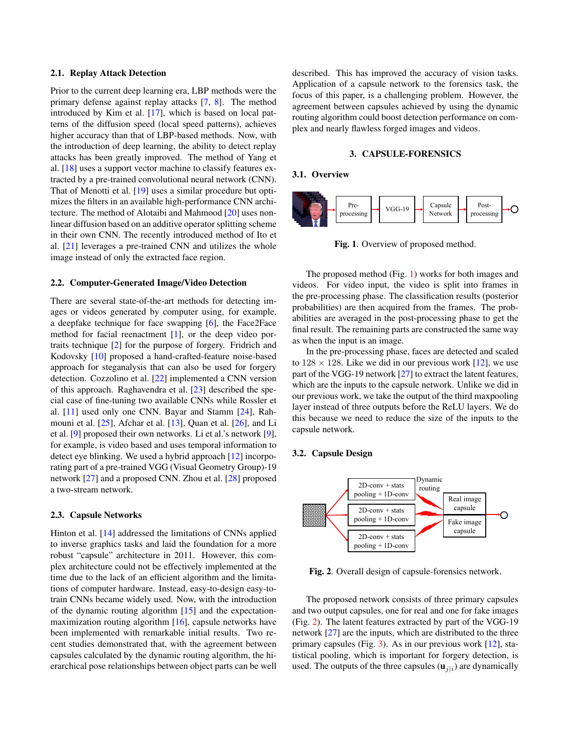#### 2.1. Replay Attack Detection

Prior to the current deep learning era, LBP methods were the primary defense against replay attacks [\[7,](#page-5-6) [8\]](#page-5-7). The method introduced by Kim et al. [\[17\]](#page-5-16), which is based on local patterns of the diffusion speed (local speed patterns), achieves higher accuracy than that of LBP-based methods. Now, with the introduction of deep learning, the ability to detect replay attacks has been greatly improved. The method of Yang et al. [\[18\]](#page-5-17) uses a support vector machine to classify features extracted by a pre-trained convolutional neural network (CNN). That of Menotti et al. [\[19\]](#page-5-18) uses a similar procedure but optimizes the filters in an available high-performance CNN architecture. The method of Alotaibi and Mahmood [\[20\]](#page-5-19) uses nonlinear diffusion based on an additive operator splitting scheme in their own CNN. The recently introduced method of Ito et al. [\[21\]](#page-5-20) leverages a pre-trained CNN and utilizes the whole image instead of only the extracted face region.

#### 2.2. Computer-Generated Image/Video Detection

There are several state-of-the-art methods for detecting images or videos generated by computer using, for example, a deepfake technique for face swapping [\[6\]](#page-5-5), the Face2Face method for facial reenactment [\[1\]](#page-5-0), or the deep video portraits technique [\[2\]](#page-5-1) for the purpose of forgery. Fridrich and Kodovsky [\[10\]](#page-5-9) proposed a hand-crafted-feature noise-based approach for steganalysis that can also be used for forgery detection. Cozzolino et al. [\[22\]](#page-5-21) implemented a CNN version of this approach. Raghavendra et al. [\[23\]](#page-5-22) described the special case of fine-tuning two available CNNs while Rossler et al. [\[11\]](#page-5-10) used only one CNN. Bayar and Stamm [\[24\]](#page-5-23), Rahmouni et al. [\[25\]](#page-5-24), Afchar et al. [\[13\]](#page-5-12), Quan et al. [\[26\]](#page-5-25), and Li et al. [\[9\]](#page-5-8) proposed their own networks. Li et al.'s network [\[9\]](#page-5-8), for example, is video based and uses temporal information to detect eye blinking. We used a hybrid approach [\[12\]](#page-5-11) incorporating part of a pre-trained VGG (Visual Geometry Group)-19 network [\[27\]](#page-5-26) and a proposed CNN. Zhou et al. [\[28\]](#page-5-27) proposed a two-stream network.

#### 2.3. Capsule Networks

Hinton et al. [\[14\]](#page-5-13) addressed the limitations of CNNs applied to inverse graphics tasks and laid the foundation for a more robust "capsule" architecture in 2011. However, this complex architecture could not be effectively implemented at the time due to the lack of an efficient algorithm and the limitations of computer hardware. Instead, easy-to-design easy-totrain CNNs became widely used. Now, with the introduction of the dynamic routing algorithm [\[15\]](#page-5-14) and the expectationmaximization routing algorithm [\[16\]](#page-5-15), capsule networks have been implemented with remarkable initial results. Two recent studies demonstrated that, with the agreement between capsules calculated by the dynamic routing algorithm, the hierarchical pose relationships between object parts can be well

described. This has improved the accuracy of vision tasks. Application of a capsule network to the forensics task, the focus of this paper, is a challenging problem. However, the agreement between capsules achieved by using the dynamic routing algorithm could boost detection performance on complex and nearly flawless forged images and videos.

#### 3. CAPSULE-FORENSICS

#### 3.1. Overview



<span id="page-2-0"></span>Fig. 1. Overview of proposed method.

The proposed method (Fig. [1\)](#page-2-0) works for both images and videos. For video input, the video is split into frames in the pre-processing phase. The classification results (posterior probabilities) are then acquired from the frames. The probabilities are averaged in the post-processing phase to get the final result. The remaining parts are constructed the same way as when the input is an image.

In the pre-processing phase, faces are detected and scaled to  $128 \times 128$ . Like we did in our previous work [\[12\]](#page-5-11), we use part of the VGG-19 network [\[27\]](#page-5-26) to extract the latent features, which are the inputs to the capsule network. Unlike we did in our previous work, we take the output of the third maxpooling layer instead of three outputs before the ReLU layers. We do this because we need to reduce the size of the inputs to the capsule network.

#### 3.2. Capsule Design



<span id="page-2-1"></span>Fig. 2. Overall design of capsule-forensics network.

The proposed network consists of three primary capsules and two output capsules, one for real and one for fake images (Fig. [2\)](#page-2-1). The latent features extracted by part of the VGG-19 network [\[27\]](#page-5-26) are the inputs, which are distributed to the three primary capsules (Fig. [3\)](#page-3-0). As in our previous work [\[12\]](#page-5-11), statistical pooling, which is important for forgery detection, is used. The outputs of the three capsules  $(\mathbf{u}_{j|i})$  are dynamically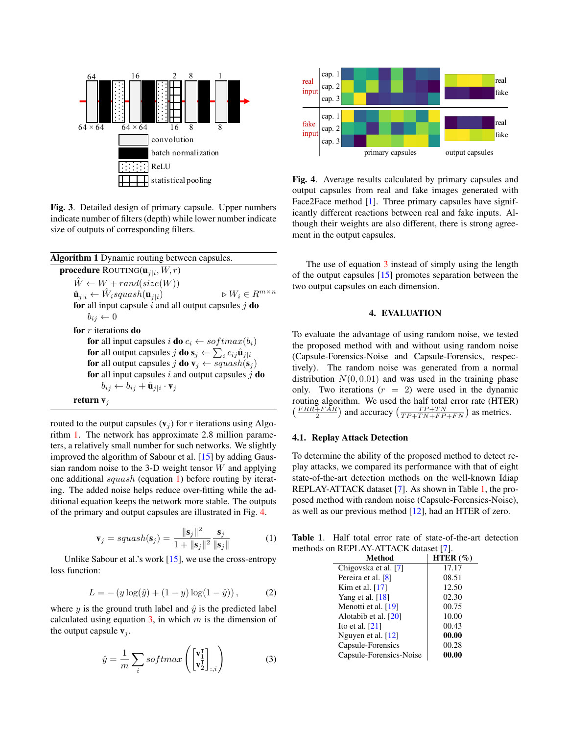

<span id="page-3-0"></span>Fig. 3. Detailed design of primary capsule. Upper numbers indicate number of filters (depth) while lower number indicate size of outputs of corresponding filters.

<span id="page-3-1"></span>

routed to the output capsules  $(v_j)$  for r iterations using Algorithm [1.](#page-3-1) The network has approximate 2.8 million parameters, a relatively small number for such networks. We slightly improved the algorithm of Sabour et al. [\[15\]](#page-5-14) by adding Gaussian random noise to the 3-D weight tensor  $W$  and applying one additional squash (equation [1\)](#page-3-2) before routing by iterating. The added noise helps reduce over-fitting while the additional equation keeps the network more stable. The outputs of the primary and output capsules are illustrated in Fig. [4.](#page-3-3)

<span id="page-3-2"></span>
$$
\mathbf{v}_{j} = squash(\mathbf{s}_{j}) = \frac{\|\mathbf{s}_{j}\|^{2}}{1 + \|\mathbf{s}_{j}\|^{2}} \frac{\mathbf{s}_{j}}{\|\mathbf{s}_{j}\|}
$$
(1)

Unlike Sabour et al.'s work [\[15\]](#page-5-14), we use the cross-entropy loss function:

$$
L = - (y \log(\hat{y}) + (1 - y) \log(1 - \hat{y})), \tag{2}
$$

where y is the ground truth label and  $\hat{y}$  is the predicted label calculated using equation  $3$ , in which m is the dimension of the output capsule  $v_i$ .

<span id="page-3-4"></span>
$$
\hat{y} = \frac{1}{m} \sum_{i} softmax\left(\begin{bmatrix} \mathbf{v}_1^{\mathsf{T}} \\ \mathbf{v}_2^{\mathsf{T}} \end{bmatrix}_{:,i}\right) \tag{3}
$$



<span id="page-3-3"></span>Fig. 4. Average results calculated by primary capsules and output capsules from real and fake images generated with Face2Face method [\[1\]](#page-5-0). Three primary capsules have significantly different reactions between real and fake inputs. Although their weights are also different, there is strong agreement in the output capsules.

The use of equation [3](#page-3-4) instead of simply using the length of the output capsules [\[15\]](#page-5-14) promotes separation between the two output capsules on each dimension.

#### 4. EVALUATION

To evaluate the advantage of using random noise, we tested the proposed method with and without using random noise (Capsule-Forensics-Noise and Capsule-Forensics, respectively). The random noise was generated from a normal distribution  $N(0, 0.01)$  and was used in the training phase only. Two iterations  $(r = 2)$  were used in the dynamic routing algorithm. We used the half total error rate (HTER)  $\left(\frac{FRR + FAR}{2}\right)$  and accuracy  $\left(\frac{TP + TN}{TP + TN + FP + FN}\right)$  as metrics.

#### 4.1. Replay Attack Detection

To determine the ability of the proposed method to detect replay attacks, we compared its performance with that of eight state-of-the-art detection methods on the well-known Idiap REPLAY-ATTACK dataset [\[7\]](#page-5-6). As shown in Table [1,](#page-3-5) the proposed method with random noise (Capsule-Forensics-Noise), as well as our previous method [\[12\]](#page-5-11), had an HTER of zero.

Table 1. Half total error rate of state-of-the-art detection methods on REPLAY-ATTACK dataset [\[7\]](#page-5-6).

<span id="page-3-5"></span>

| Method                  | HTER $(\% )$ |
|-------------------------|--------------|
| Chigovska et al. [7]    | 17.17        |
| Pereira et al. [8]      | 08.51        |
| Kim et al. $[17]$       | 12.50        |
| Yang et al. $[18]$      | 02.30        |
| Menotti et al. [19]     | 00.75        |
| Alotabib et al. [20]    | 10.00        |
| Ito et al. $[21]$       | 00.43        |
| Nguyen et al. $[12]$    | 00.00        |
| Capsule-Forensics       | 00.28        |
| Capsule-Forensics-Noise | 00.00        |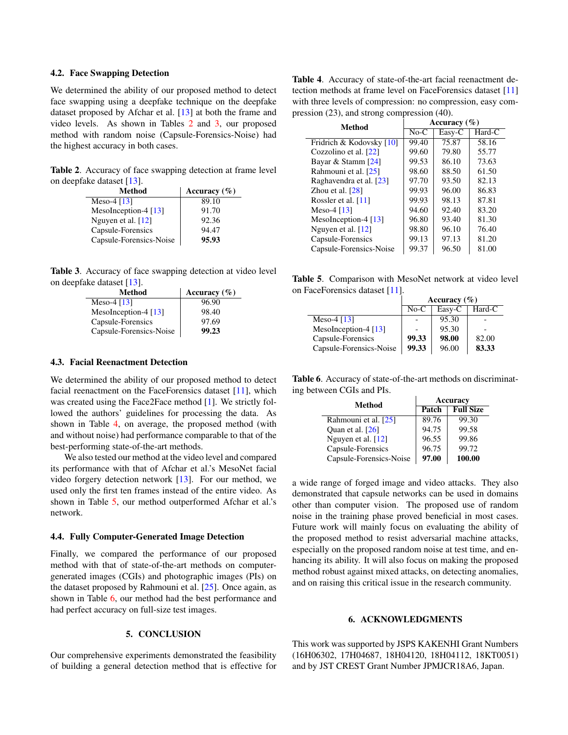#### 4.2. Face Swapping Detection

We determined the ability of our proposed method to detect face swapping using a deepfake technique on the deepfake dataset proposed by Afchar et al. [\[13\]](#page-5-12) at both the frame and video levels. As shown in Tables [2](#page-4-0) and [3,](#page-4-1) our proposed method with random noise (Capsule-Forensics-Noise) had the highest accuracy in both cases.

Table 2. Accuracy of face swapping detection at frame level on deepfake dataset [\[13\]](#page-5-12).

<span id="page-4-0"></span>

| <b>Method</b>           | Accuracy $(\% )$ |
|-------------------------|------------------|
| Meso-4 $[13]$           | 89.10            |
| MesoInception-4 [13]    | 91.70            |
| Nguyen et al. $[12]$    | 92.36            |
| Capsule-Forensics       | 94.47            |
| Capsule-Forensics-Noise | 95.93            |

Table 3. Accuracy of face swapping detection at video level on deepfake dataset [\[13\]](#page-5-12).

<span id="page-4-1"></span>

| <b>Method</b>           | Accuracy $(\% )$ |
|-------------------------|------------------|
| Meso-4 $[13]$           | 96.90            |
| MesoInception-4 $[13]$  | 98.40            |
| Capsule-Forensics       | 97.69            |
| Capsule-Forensics-Noise | 99.23            |

#### 4.3. Facial Reenactment Detection

We determined the ability of our proposed method to detect facial reenactment on the FaceForensics dataset [\[11\]](#page-5-10), which was created using the Face2Face method [\[1\]](#page-5-0). We strictly followed the authors' guidelines for processing the data. As shown in Table [4,](#page-4-2) on average, the proposed method (with and without noise) had performance comparable to that of the best-performing state-of-the-art methods.

We also tested our method at the video level and compared its performance with that of Afchar et al.'s MesoNet facial video forgery detection network [\[13\]](#page-5-12). For our method, we used only the first ten frames instead of the entire video. As shown in Table [5,](#page-4-3) our method outperformed Afchar et al.'s network.

#### 4.4. Fully Computer-Generated Image Detection

Finally, we compared the performance of our proposed method with that of state-of-the-art methods on computergenerated images (CGIs) and photographic images (PIs) on the dataset proposed by Rahmouni et al. [\[25\]](#page-5-24). Once again, as shown in Table [6,](#page-4-4) our method had the best performance and had perfect accuracy on full-size test images.

#### 5. CONCLUSION

Our comprehensive experiments demonstrated the feasibility of building a general detection method that is effective for

<span id="page-4-2"></span>Table 4. Accuracy of state-of-the-art facial reenactment detection methods at frame level on FaceForensics dataset [\[11\]](#page-5-10) with three levels of compression: no compression, easy compression (23), and strong compression (40).

| <b>Method</b>            | Accuracy $(\% )$ |        |          |
|--------------------------|------------------|--------|----------|
|                          | $No-C$           | Easy-C | $Hard-C$ |
| Fridrich & Kodovsky [10] | 99.40            | 75.87  | 58.16    |
| Cozzolino et al. [22]    | 99.60            | 79.80  | 55.77    |
| Bayar & Stamm [24]       | 99.53            | 86.10  | 73.63    |
| Rahmouni et al. [25]     | 98.60            | 88.50  | 61.50    |
| Raghavendra et al. [23]  | 97.70            | 93.50  | 82.13    |
| Zhou et al. $[28]$       | 99.93            | 96.00  | 86.83    |
| Rossler et al. [11]      | 99.93            | 98.13  | 87.81    |
| Meso-4 $[13]$            | 94.60            | 92.40  | 83.20    |
| MesoInception-4 $[13]$   | 96.80            | 93.40  | 81.30    |
| Nguyen et al. $[12]$     | 98.80            | 96.10  | 76.40    |
| Capsule-Forensics        | 99.13            | 97.13  | 81.20    |
| Capsule-Forensics-Noise  | 99.37            | 96.50  | 81.00    |

Table 5. Comparison with MesoNet network at video level on FaceForensics dataset [\[11\]](#page-5-10).

<span id="page-4-3"></span>

|                         | Accuracy $(\% )$ |        |        |
|-------------------------|------------------|--------|--------|
|                         | $No-C$           | Easy-C | Hard-C |
| Meso-4 $[13]$           |                  | 95.30  |        |
| MesoInception-4 $[13]$  |                  | 95.30  |        |
| Capsule-Forensics       | 99.33            | 98.00  | 82.00  |
| Capsule-Forensics-Noise | 99.33            | 96.00  | 83.33  |

Table 6. Accuracy of state-of-the-art methods on discriminating between CGIs and PIs.

<span id="page-4-4"></span>

| Method                  | Accuracy |                  |  |
|-------------------------|----------|------------------|--|
|                         | Patch    | <b>Full Size</b> |  |
| Rahmouni et al. [25]    | 89.76    | 99.30            |  |
| Quan et al. $[26]$      | 94.75    | 99.58            |  |
| Nguyen et al. $[12]$    | 96.55    | 99.86            |  |
| Capsule-Forensics       | 96.75    | 99.72            |  |
| Capsule-Forensics-Noise | 97.00    | 100.00           |  |

a wide range of forged image and video attacks. They also demonstrated that capsule networks can be used in domains other than computer vision. The proposed use of random noise in the training phase proved beneficial in most cases. Future work will mainly focus on evaluating the ability of the proposed method to resist adversarial machine attacks, especially on the proposed random noise at test time, and enhancing its ability. It will also focus on making the proposed method robust against mixed attacks, on detecting anomalies, and on raising this critical issue in the research community.

#### 6. ACKNOWLEDGMENTS

This work was supported by JSPS KAKENHI Grant Numbers (16H06302, 17H04687, 18H04120, 18H04112, 18KT0051) and by JST CREST Grant Number JPMJCR18A6, Japan.